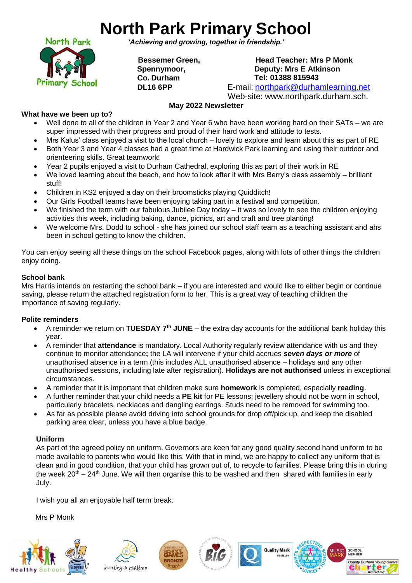# **North Park Primary School**



*'Achieving and growing, together in friendship.'*

**Bessemer Green, Spennymoor, Co. Durham DL16 6PP**

**Head Teacher: Mrs P Monk Deputy: Mrs E Atkinson Tel: 01388 815943**

E-mail: [northpark@durhamlearning.net](mailto:northpark@durhamlearning.net)

Web-site: [www.northpark.durham.sch.](http://www.northpark.durham.sch/)

# **May 2022 Newsletter**

# **What have we been up to?**

- Well done to all of the children in Year 2 and Year 6 who have been working hard on their SATs we are super impressed with their progress and proud of their hard work and attitude to tests.
- Mrs Kalus' class enjoyed a visit to the local church lovely to explore and learn about this as part of RE • Both Year 3 and Year 4 classes had a great time at Hardwick Park learning and using their outdoor and orienteering skills. Great teamwork!
- Year 2 pupils enjoyed a visit to Durham Cathedral, exploring this as part of their work in RE
- We loved learning about the beach, and how to look after it with Mrs Berry's class assembly brilliant stuff!
- Children in KS2 enjoyed a day on their broomsticks playing Quidditch!
- Our Girls Football teams have been enjoying taking part in a festival and competition.
- We finished the term with our fabulous Jubilee Day today it was so lovely to see the children enjoying activities this week, including baking, dance, picnics, art and craft and tree planting!
- We welcome Mrs. Dodd to school she has joined our school staff team as a teaching assistant and ahs been in school getting to know the children.

You can enjoy seeing all these things on the school Facebook pages, along with lots of other things the children enjoy doing.

## **School bank**

Mrs Harris intends on restarting the school bank – if you are interested and would like to either begin or continue saving, please return the attached registration form to her. This is a great way of teaching children the importance of saving regularly.

# **Polite reminders**

- A reminder we return on **TUESDAY 7th JUNE** the extra day accounts for the additional bank holiday this year.
- A reminder that **attendance** is mandatory. Local Authority regularly review attendance with us and they continue to monitor attendance**;** the LA will intervene if your child accrues *seven days or more* of unauthorised absence in a term (this includes ALL unauthorised absence – holidays and any other unauthorised sessions, including late after registration). **Holidays are not authorised** unless in exceptional circumstances.
- A reminder that it is important that children make sure **homework** is completed, especially **reading**.
- A further reminder that your child needs a **PE kit** for PE lessons; jewellery should not be worn in school, particularly bracelets, necklaces and dangling earrings. Studs need to be removed for swimming too.
- As far as possible please avoid driving into school grounds for drop off/pick up, and keep the disabled parking area clear, unless you have a blue badge.

# **Uniform**

As part of the agreed policy on uniform, Governors are keen for any good quality second hand uniform to be made available to parents who would like this. With that in mind, we are happy to collect any uniform that is clean and in good condition, that your child has grown out of, to recycle to families. Please bring this in during the week  $20^{th}$  –  $24^{th}$  June. We will then organise this to be washed and then shared with families in early July.

I wish you all an enjoyable half term break.

Mrs P Monk